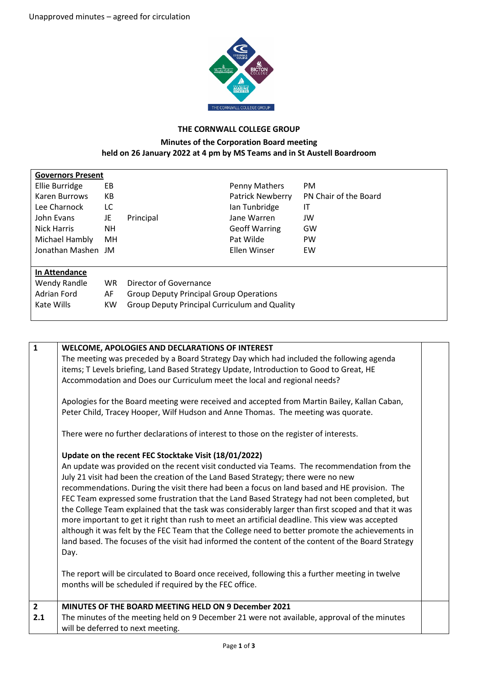

## **THE CORNWALL COLLEGE GROUP**

## **Minutes of the Corporation Board meeting held on 26 January 2022 at 4 pm by MS Teams and in St Austell Boardroom**

| <b>Governors Present</b> |           |                                                      |                      |                       |  |  |  |  |
|--------------------------|-----------|------------------------------------------------------|----------------------|-----------------------|--|--|--|--|
| Ellie Burridge           | EB        |                                                      | Penny Mathers        | <b>PM</b>             |  |  |  |  |
| Karen Burrows            | КB        |                                                      | Patrick Newberry     | PN Chair of the Board |  |  |  |  |
| Lee Charnock             | LC.       |                                                      | lan Tunbridge        | IT                    |  |  |  |  |
| John Evans               | JE        | Principal                                            | Jane Warren          | JW                    |  |  |  |  |
| Nick Harris              | NH        |                                                      | <b>Geoff Warring</b> | GW                    |  |  |  |  |
| Michael Hambly           | MH        |                                                      | Pat Wilde            | <b>PW</b>             |  |  |  |  |
| Jonathan Mashen JM       |           |                                                      | <b>Ellen Winser</b>  | EW                    |  |  |  |  |
|                          |           |                                                      |                      |                       |  |  |  |  |
| In Attendance            |           |                                                      |                      |                       |  |  |  |  |
| Wendy Randle             | WR.       | Director of Governance                               |                      |                       |  |  |  |  |
| <b>Adrian Ford</b>       | AF        | <b>Group Deputy Principal Group Operations</b>       |                      |                       |  |  |  |  |
| Kate Wills               | <b>KW</b> | <b>Group Deputy Principal Curriculum and Quality</b> |                      |                       |  |  |  |  |
|                          |           |                                                      |                      |                       |  |  |  |  |

| $\mathbf{1}$          | WELCOME, APOLOGIES AND DECLARATIONS OF INTEREST<br>The meeting was preceded by a Board Strategy Day which had included the following agenda<br>items; T Levels briefing, Land Based Strategy Update, Introduction to Good to Great, HE<br>Accommodation and Does our Curriculum meet the local and regional needs?<br>Apologies for the Board meeting were received and accepted from Martin Bailey, Kallan Caban,<br>Peter Child, Tracey Hooper, Wilf Hudson and Anne Thomas. The meeting was quorate.<br>There were no further declarations of interest to those on the register of interests.<br>Update on the recent FEC Stocktake Visit (18/01/2022)<br>An update was provided on the recent visit conducted via Teams. The recommendation from the<br>July 21 visit had been the creation of the Land Based Strategy; there were no new<br>recommendations. During the visit there had been a focus on land based and HE provision. The<br>FEC Team expressed some frustration that the Land Based Strategy had not been completed, but<br>the College Team explained that the task was considerably larger than first scoped and that it was<br>more important to get it right than rush to meet an artificial deadline. This view was accepted<br>although it was felt by the FEC Team that the College need to better promote the achievements in<br>land based. The focuses of the visit had informed the content of the content of the Board Strategy<br>Day.<br>The report will be circulated to Board once received, following this a further meeting in twelve<br>months will be scheduled if required by the FEC office. |  |
|-----------------------|-----------------------------------------------------------------------------------------------------------------------------------------------------------------------------------------------------------------------------------------------------------------------------------------------------------------------------------------------------------------------------------------------------------------------------------------------------------------------------------------------------------------------------------------------------------------------------------------------------------------------------------------------------------------------------------------------------------------------------------------------------------------------------------------------------------------------------------------------------------------------------------------------------------------------------------------------------------------------------------------------------------------------------------------------------------------------------------------------------------------------------------------------------------------------------------------------------------------------------------------------------------------------------------------------------------------------------------------------------------------------------------------------------------------------------------------------------------------------------------------------------------------------------------------------------------------------------------------------------------------------------------------|--|
| $\overline{2}$<br>2.1 | MINUTES OF THE BOARD MEETING HELD ON 9 December 2021<br>The minutes of the meeting held on 9 December 21 were not available, approval of the minutes<br>will be deferred to next meeting.                                                                                                                                                                                                                                                                                                                                                                                                                                                                                                                                                                                                                                                                                                                                                                                                                                                                                                                                                                                                                                                                                                                                                                                                                                                                                                                                                                                                                                               |  |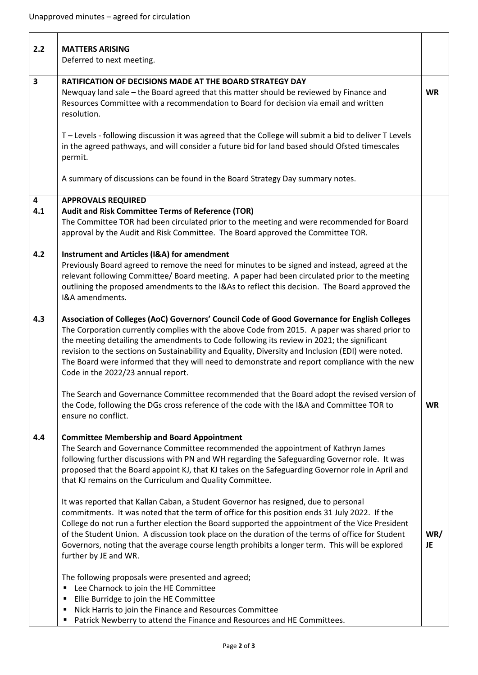| 2.2      | <b>MATTERS ARISING</b><br>Deferred to next meeting.                                                                                                                                                                                                                                                                                                                                                                                                                                                                                       |           |
|----------|-------------------------------------------------------------------------------------------------------------------------------------------------------------------------------------------------------------------------------------------------------------------------------------------------------------------------------------------------------------------------------------------------------------------------------------------------------------------------------------------------------------------------------------------|-----------|
| 3        | RATIFICATION OF DECISIONS MADE AT THE BOARD STRATEGY DAY<br>Newquay land sale - the Board agreed that this matter should be reviewed by Finance and<br>Resources Committee with a recommendation to Board for decision via email and written<br>resolution.                                                                                                                                                                                                                                                                               | <b>WR</b> |
|          | T - Levels - following discussion it was agreed that the College will submit a bid to deliver T Levels<br>in the agreed pathways, and will consider a future bid for land based should Ofsted timescales<br>permit.                                                                                                                                                                                                                                                                                                                       |           |
|          | A summary of discussions can be found in the Board Strategy Day summary notes.                                                                                                                                                                                                                                                                                                                                                                                                                                                            |           |
| 4<br>4.1 | <b>APPROVALS REQUIRED</b><br>Audit and Risk Committee Terms of Reference (TOR)<br>The Committee TOR had been circulated prior to the meeting and were recommended for Board<br>approval by the Audit and Risk Committee. The Board approved the Committee TOR.                                                                                                                                                                                                                                                                            |           |
| 4.2      | Instrument and Articles (I&A) for amendment<br>Previously Board agreed to remove the need for minutes to be signed and instead, agreed at the<br>relevant following Committee/ Board meeting. A paper had been circulated prior to the meeting<br>outlining the proposed amendments to the I&As to reflect this decision. The Board approved the<br>I&A amendments.                                                                                                                                                                       |           |
| 4.3      | Association of Colleges (AoC) Governors' Council Code of Good Governance for English Colleges<br>The Corporation currently complies with the above Code from 2015. A paper was shared prior to<br>the meeting detailing the amendments to Code following its review in 2021; the significant<br>revision to the sections on Sustainability and Equality, Diversity and Inclusion (EDI) were noted.<br>The Board were informed that they will need to demonstrate and report compliance with the new<br>Code in the 2022/23 annual report. |           |
|          | The Search and Governance Committee recommended that the Board adopt the revised version of<br>the Code, following the DGs cross reference of the code with the I&A and Committee TOR to<br>ensure no conflict.                                                                                                                                                                                                                                                                                                                           | <b>WR</b> |
| 4.4      | <b>Committee Membership and Board Appointment</b><br>The Search and Governance Committee recommended the appointment of Kathryn James<br>following further discussions with PN and WH regarding the Safeguarding Governor role. It was<br>proposed that the Board appoint KJ, that KJ takes on the Safeguarding Governor role in April and<br>that KJ remains on the Curriculum and Quality Committee.                                                                                                                                    |           |
|          | It was reported that Kallan Caban, a Student Governor has resigned, due to personal<br>commitments. It was noted that the term of office for this position ends 31 July 2022. If the<br>College do not run a further election the Board supported the appointment of the Vice President<br>of the Student Union. A discussion took place on the duration of the terms of office for Student<br>Governors, noting that the average course length prohibits a longer term. This will be explored<br>further by JE and WR.                   | WR/<br>JE |
|          | The following proposals were presented and agreed;<br>Lee Charnock to join the HE Committee<br>Е<br>Ellie Burridge to join the HE Committee<br>٠<br>Nick Harris to join the Finance and Resources Committee<br>п<br>Patrick Newberry to attend the Finance and Resources and HE Committees.<br>п                                                                                                                                                                                                                                          |           |